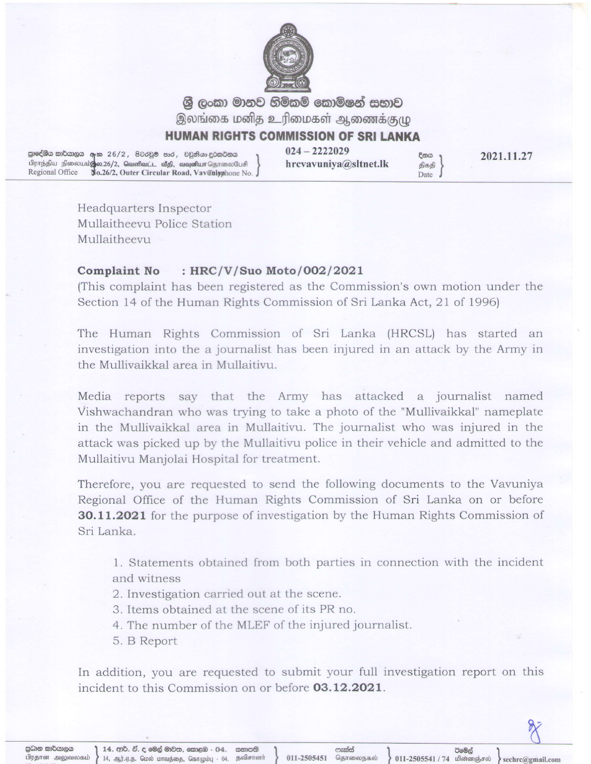

ශී ලංකා මානව හිමිකම් කොමිෂන් සභාව இலங்கை மனித உரிமைகள் ஆணைக்குமு

## **HUMAN RIGHTS COMMISSION OF SRI LANKA**

ട്ടാഭ©്രെ താ്താളര കുത 26/2, 8ഠഠളര ടാഠ, og മെഹ ഇര്മാമാ സ്ഥാന് സ്ഥാന് 2222029 - മുതേ മുത്ത<br>വീണ്ടും വീണ്ടും വീണ്ടും വീണ്ടും തുടര്ന്ന് കുറ്റ് വീണ്ടും കുറ്റവും തുടര്ന്ന് വീണ്ടും തുടര്ന്ന് എക്ക്<br>Regional Office No.26/2, Outer Regional Office No.26/2, Outer Circular Road, Vavilaly ahone No.

2021.11.27

Headquarters Inspector Mullaitheevu Police Station Mullaitheevu

## Complaint No : HRC/V/Suo Moto/002/2021

(This complaint has been registered as the Commission's own motion under the Section 14 of the Human Rights Commission of Sri Lanka Act,21 of 1996)

The Human Rights Commission of Sri Lanka (HRCSL) has started an investigation into the a journalist has been injured in an attack by the Army in the Mullivaikkal area in Mullaitivu.

Media reports say that the Army has attacked a journalist named Vishwachandran who was trying to take a photo of the "Mullivaikkal" nameplate in the Mullivaikkal area in Mullaitivu. The journalist who was injured in the attack was picked up by the Mullaitivu police in their vehicle and admitted to the Mullaitivu Manjolai Hospital for treatment.

Therefore, you are requested to send the following documents to the Vavuniya Regional Office of the Human Rights Commission of Sri Lanka on or before **30.11.2021** for the purpose of investigation by the Human Rights Commission of Sri Lanka.

1. Statements obtained from both parties in connection with the incident and witness

- 2. Investigation carried out at the scene.
- 3. Items obtained at the scene of its PR no.
- 4. The number of the MLEF of the injured journalist.
- 5. B Report

In addition, you are requested to submit your full investigation report on this incident to this Commission on or before **03.12.2021**.

ඊමේල්